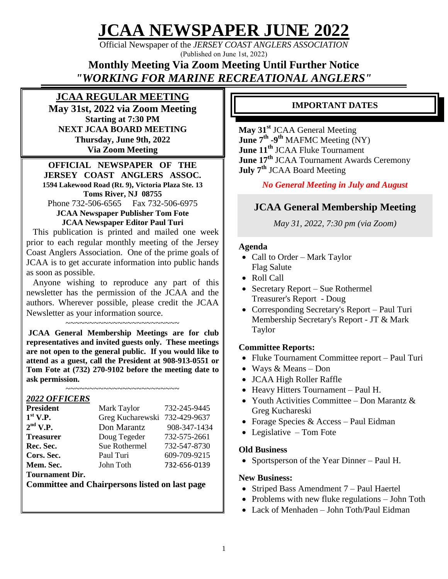**JCAA NEWSPAPER JUNE 2022**

Official Newspaper of the *JERSEY COAST ANGLERS ASSOCIATION* (Published on June 1st, 2022)

**Monthly Meeting Via Zoom Meeting Until Further Notice**  *"WORKING FOR MARINE RECREATIONAL ANGLERS"*

### **JCAA REGULAR MEETING**

**May 31st, 2022 via Zoom Meeting Starting at 7:30 PM NEXT JCAA BOARD MEETING Thursday, June 9th, 2022 Via Zoom Meeting**

#### **OFFICIAL NEWSPAPER OF THE JERSEY COAST ANGLERS ASSOC. 1594 Lakewood Road (Rt. 9), Victoria Plaza Ste. 13 Toms River, NJ 08755** Phone 732-506-6565 Fax 732-506-6975

**JCAA Newspaper Publisher Tom Fote JCAA Newspaper Editor Paul Turi**

 This publication is printed and mailed one week prior to each regular monthly meeting of the Jersey Coast Anglers Association. One of the prime goals of JCAA is to get accurate information into public hands as soon as possible.

 Anyone wishing to reproduce any part of this newsletter has the permission of the JCAA and the authors. Wherever possible, please credit the JCAA Newsletter as your information source.

~~~~~~~~~~~~~~~~~~~~~~~

**JCAA General Membership Meetings are for club representatives and invited guests only. These meetings are not open to the general public. If you would like to attend as a guest, call the President at 908-913-0551 or Tom Fote at (732) 270-9102 before the meeting date to ask permission.**

~~~~~~~~~~~~~~~~~~~~~~~~

#### *2022 OFFICERS*

| <b>President</b>       | Mark Taylor                   | 732-245-9445 |
|------------------------|-------------------------------|--------------|
| $1st$ V.P.             | Greg Kucharewski 732-429-9637 |              |
| $2nd$ V.P.             | Don Marantz                   | 908-347-1434 |
| <b>Treasurer</b>       | Doug Tegeder                  | 732-575-2661 |
| Rec. Sec.              | Sue Rothermel                 | 732-547-8730 |
| Cors. Sec.             | Paul Turi                     | 609-709-9215 |
| Mem. Sec.              | John Toth                     | 732-656-0139 |
| <b>Tournament Dir.</b> |                               |              |

**Committee and Chairpersons listed on last page**

### **IMPORTANT DATES**

**May 31st** JCAA General Meeting **June 7th -9 th** MAFMC Meeting (NY) **June 11th** JCAA Fluke Tournament **June 17th** JCAA Tournament Awards Ceremony **July 7th** JCAA Board Meeting

### *No General Meeting in July and August*

### **JCAA General Membership Meeting**

*May 31, 2022, 7:30 pm (via Zoom)*

#### **Agenda**

- Call to Order Mark Taylor Flag Salute
- Roll Call
- Secretary Report Sue Rothermel Treasurer's Report - Doug
- Corresponding Secretary's Report Paul Turi Membership Secretary's Report - JT & Mark Taylor

#### **Committee Reports:**

- Fluke Tournament Committee report Paul Turi
- Ways & Means Don
- JCAA High Roller Raffle
- Heavy Hitters Tournament Paul H.
- Youth Activities Committee Don Marantz & Greg Kuchareski
- Forage Species  $&$  Access Paul Eidman
- Legislative Tom Fote

#### **Old Business**

• Sportsperson of the Year Dinner – Paul H.

#### **New Business:**

- Striped Bass Amendment 7 Paul Haertel
- Problems with new fluke regulations John Toth
- Lack of Menhaden John Toth/Paul Eidman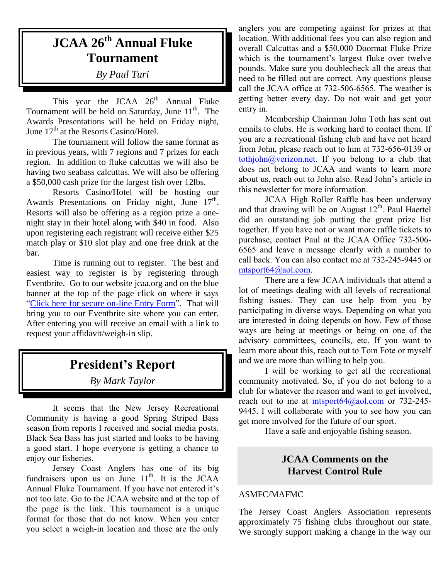# **JCAA 26th Annual Fluke Tournament**

*By Paul Turi*

This year the JCAA  $26<sup>th</sup>$  Annual Fluke Tournament will be held on Saturday, June  $11<sup>th</sup>$ . The Awards Presentations will be held on Friday night, June 17<sup>th</sup> at the Resorts Casino/Hotel.

The tournament will follow the same format as in previous years, with 7 regions and 7 prizes for each region. In addition to fluke calcuttas we will also be having two seabass calcuttas. We will also be offering a \$50,000 cash prize for the largest fish over 12lbs.

Resorts Casino/Hotel will be hosting our Awards Presentations on Friday night, June  $17<sup>th</sup>$ . Resorts will also be offering as a region prize a onenight stay in their hotel along with \$40 in food. Also upon registering each registrant will receive either \$25 match play or \$10 slot play and one free drink at the bar.

Time is running out to register. The best and easiest way to register is by registering through Eventbrite. Go to our website jcaa.org and on the blue banner at the top of the page click on where it says ["Click here for secure on-line Entry Form"](https://jcaa2022.eventbrite.com/). That will bring you to our Eventbrite site where you can enter. After entering you will receive an email with a link to request your affidavit/weigh-in slip.

## **President's Report**

*By Mark Taylor*

It seems that the New Jersey Recreational Community is having a good Spring Striped Bass season from reports I received and social media posts. Black Sea Bass has just started and looks to be having a good start. I hope everyone is getting a chance to enjoy our fisheries.

Jersey Coast Anglers has one of its big fundraisers upon us on June  $11<sup>th</sup>$ . It is the JCAA Annual Fluke Tournament. If you have not entered it's not too late. Go to the JCAA website and at the top of the page is the link. This tournament is a unique format for those that do not know. When you enter you select a weigh-in location and those are the only

anglers you are competing against for prizes at that location. With additional fees you can also region and overall Calcuttas and a \$50,000 Doormat Fluke Prize which is the tournament's largest fluke over twelve pounds. Make sure you doublecheck all the areas that need to be filled out are correct. Any questions please call the JCAA office at 732-506-6565. The weather is getting better every day. Do not wait and get your entry in.

Membership Chairman John Toth has sent out emails to clubs. He is working hard to contact them. If you are a recreational fishing club and have not heard from John, please reach out to him at 732-656-0139 or [tothjohn@verizon.net.](mailto:tothjohn@verizon.net) If you belong to a club that does not belong to JCAA and wants to learn more about us, reach out to John also. Read John's article in this newsletter for more information.

JCAA High Roller Raffle has been underway and that drawing will be on August  $12<sup>th</sup>$ . Paul Haertel did an outstanding job putting the great prize list together. If you have not or want more raffle tickets to purchase, contact Paul at the JCAA Office 732-506- 6565 and leave a message clearly with a number to call back. You can also contact me at 732-245-9445 or [mtsport64@aol.com.](mailto:mtsport64@aol.com)

There are a few JCAA individuals that attend a lot of meetings dealing with all levels of recreational fishing issues. They can use help from you by participating in diverse ways. Depending on what you are interested in doing depends on how. Few of those ways are being at meetings or being on one of the advisory committees, councils, etc. If you want to learn more about this, reach out to Tom Fote or myself and we are more than willing to help you.

I will be working to get all the recreational community motivated. So, if you do not belong to a club for whatever the reason and want to get involved, reach out to me at mtsport $64$  ( $\alpha$ ) aol.com or 732-245-9445. I will collaborate with you to see how you can get more involved for the future of our sport.

Have a safe and enjoyable fishing season.

#### **JCAA Comments on the Harvest Control Rule**

#### ASMFC/MAFMC

The Jersey Coast Anglers Association represents approximately 75 fishing clubs throughout our state. We strongly support making a change in the way our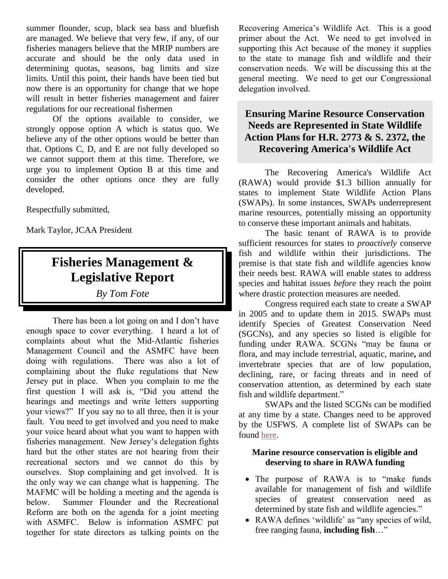summer flounder, scup, black sea bass and bluefish are managed. We believe that very few, if any, of our fisheries managers believe that the MRIP numbers are accurate and should be the only data used in determining quotas, seasons, bag limits and size limits. Until this point, their hands have been tied but now there is an opportunity for change that we hope will result in better fisheries management and fairer regulations for our recreational fishermen

Of the options available to consider, we strongly oppose option A which is status quo. We believe any of the other options would be better than that. Options C, D, and E are not fully developed so we cannot support them at this time. Therefore, we urge you to implement Option B at this time and consider the other options once they are fully developed.

Respectfully submitted,

Mark Taylor, JCAA President

# **Fisheries Management & Legislative Report**

*By Tom Fote* 

There has been a lot going on and I don't have enough space to cover everything. I heard a lot of complaints about what the Mid-Atlantic fisheries Management Council and the ASMFC have been doing with regulations. There was also a lot of complaining about the fluke regulations that New Jersey put in place. When you complain to me the first question I will ask is, "Did you attend the hearings and meetings and write letters supporting your views?" If you say no to all three, then it is your fault. You need to get involved and you need to make your voice heard about what you want to happen with fisheries management. New Jersey's delegation fights hard but the other states are not hearing from their recreational sectors and we cannot do this by ourselves. Stop complaining and get involved. It is the only way we can change what is happening. The MAFMC will be holding a meeting and the agenda is below. Summer Flounder and the Recreational Reform are both on the agenda for a joint meeting with ASMFC. Below is information ASMFC put together for state directors as talking points on the

Recovering America's Wildlife Act. This is a good primer about the Act. We need to get involved in supporting this Act because of the money it supplies to the state to manage fish and wildlife and their conservation needs. We will be discussing this at the general meeting. We need to get our Congressional delegation involved.

#### **Ensuring Marine Resource Conservation Needs are Represented in State Wildlife Action Plans for H.R. 2773 & S. 2372, the Recovering America's Wildlife Act**

The Recovering America's Wildlife Act (RAWA) would provide \$1.3 billion annually for states to implement State Wildlife Action Plans (SWAPs). In some instances, SWAPs underrepresent marine resources, potentially missing an opportunity to conserve these important animals and habitats.

The basic tenant of RAWA is to provide sufficient resources for states to *proactively* conserve fish and wildlife within their jurisdictions. The premise is that state fish and wildlife agencies know their needs best. RAWA will enable states to address species and habitat issues *before* they reach the point where drastic protection measures are needed.

Congress required each state to create a SWAP in 2005 and to update them in 2015. SWAPs must identify Species of Greatest Conservation Need (SGCNs), and any species so listed is eligible for funding under RAWA. SCGNs "may be fauna or flora, and may include terrestrial, aquatic, marine**,** and invertebrate species that are of low population, declining, rare, or facing threats and in need of conservation attention, as determined by each state fish and wildlife department."

SWAPs and the listed SCGNs can be modified at any time by a state. Changes need to be approved by the USFWS. A complete list of SWAPs can be found [here.](https://www.fishwildlife.org/afwa-informs/state-wildlife-action-plans)

#### **Marine resource conservation is eligible and deserving to share in RAWA funding**

- The purpose of RAWA is to "make funds" available for management of fish and wildlife species of greatest conservation need as determined by state fish and wildlife agencies."
- RAWA defines 'wildlife' as "any species of wild, free ranging fauna, **including fish**…"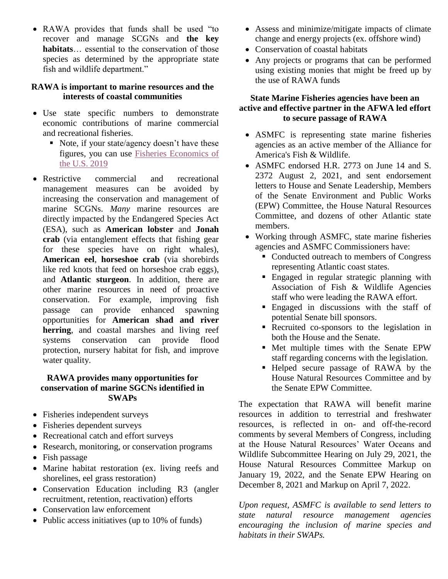RAWA provides that funds shall be used "to recover and manage SCGNs and **the key habitats**… essential to the conservation of those species as determined by the appropriate state fish and wildlife department."

#### **RAWA is important to marine resources and the interests of coastal communities**

- Use state specific numbers to demonstrate economic contributions of marine commercial and recreational fisheries.
	- Note, if your state/agency doesn't have these figures, you can use [Fisheries Economics of](https://www.fisheries.noaa.gov/resource/document/fisheries-economics-united-states-report-2019#:~:text=For%202019%2C%20U.S.%20commercial%20and,and%20across%20the%20broader%20economy.)  [the U.S. 2019](https://www.fisheries.noaa.gov/resource/document/fisheries-economics-united-states-report-2019#:~:text=For%202019%2C%20U.S.%20commercial%20and,and%20across%20the%20broader%20economy.)
- Restrictive commercial and recreational management measures can be avoided by increasing the conservation and management of marine SCGNs. *Many* marine resources are directly impacted by the Endangered Species Act (ESA), such as **American lobster** and **Jonah crab** (via entanglement effects that fishing gear for these species have on right whales), **American eel**, **horseshoe crab** (via shorebirds like red knots that feed on horseshoe crab eggs), and **Atlantic sturgeon**. In addition, there are other marine resources in need of proactive conservation. For example, improving fish passage can provide enhanced spawning opportunities for **American shad and river herring**, and coastal marshes and living reef systems conservation can provide flood protection, nursery habitat for fish, and improve water quality.

#### **RAWA provides many opportunities for conservation of marine SGCNs identified in SWAPs**

- Fisheries independent surveys
- Fisheries dependent surveys
- Recreational catch and effort surveys
- Research, monitoring, or conservation programs
- Fish passage
- Marine habitat restoration (ex. living reefs and shorelines, eel grass restoration)
- Conservation Education including R3 (angler recruitment, retention, reactivation) efforts
- Conservation law enforcement
- Public access initiatives (up to  $10\%$  of funds)
- Assess and minimize/mitigate impacts of climate change and energy projects (ex. offshore wind)
- Conservation of coastal habitats
- Any projects or programs that can be performed using existing monies that might be freed up by the use of RAWA funds

#### **State Marine Fisheries agencies have been an active and effective partner in the AFWA led effort to secure passage of RAWA**

- ASMFC is representing state marine fisheries agencies as an active member of the Alliance for America's Fish & Wildlife.
- ASMFC endorsed H.R. 2773 on June 14 and S. 2372 August 2, 2021, and sent endorsement letters to House and Senate Leadership, Members of the Senate Environment and Public Works (EPW) Committee, the House Natural Resources Committee, and dozens of other Atlantic state members.
- Working through ASMFC, state marine fisheries agencies and ASMFC Commissioners have:
	- Conducted outreach to members of Congress representing Atlantic coast states.
	- **Engaged in regular strategic planning with** Association of Fish & Wildlife Agencies staff who were leading the RAWA effort.
	- **Engaged** in discussions with the staff of potential Senate bill sponsors.
	- Recruited co-sponsors to the legislation in both the House and the Senate.
	- Met multiple times with the Senate EPW staff regarding concerns with the legislation.
	- Helped secure passage of RAWA by the House Natural Resources Committee and by the Senate EPW Committee.

The expectation that RAWA will benefit marine resources in addition to terrestrial and freshwater resources, is reflected in on- and off-the-record comments by several Members of Congress, including at the House Natural Resources' Water Oceans and Wildlife Subcommittee Hearing on July 29, 2021, the House Natural Resources Committee Markup on January 19, 2022, and the Senate EPW Hearing on December 8, 2021 and Markup on April 7, 2022.

*Upon request, ASMFC is available to send letters to state natural resource management agencies encouraging the inclusion of marine species and habitats in their SWAPs.*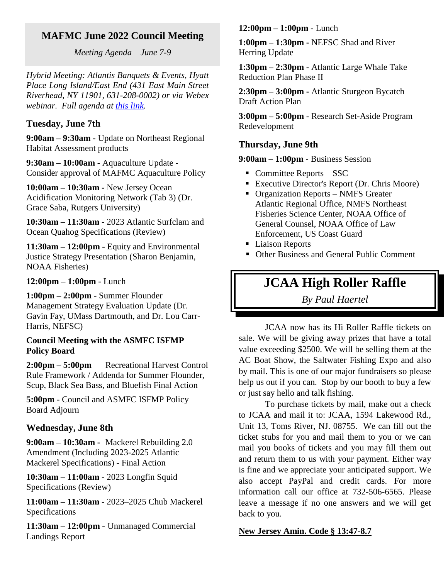### **MAFMC June 2022 Council Meeting**

*Meeting Agenda – June 7-9*

*Hybrid Meeting: Atlantis Banquets & Events, Hyatt Place Long Island/East End (431 East Main Street Riverhead, NY 11901, 631-208-0002) or via Webex webinar. Full agenda at [this link.](https://www.mafmc.org/council-events/2022/june-2022-council-meeting)*

#### **Tuesday, June 7th**

**9:00am – 9:30am -** Update on Northeast Regional Habitat Assessment products

**9:30am – 10:00am -** Aquaculture Update - Consider approval of MAFMC Aquaculture Policy

**10:00am – 10:30am -** New Jersey Ocean Acidification Monitoring Network (Tab 3) (Dr. Grace Saba, Rutgers University)

**10:30am – 11:30am -** 2023 Atlantic Surfclam and Ocean Quahog Specifications (Review)

**11:30am – 12:00pm** - Equity and Environmental Justice Strategy Presentation (Sharon Benjamin, NOAA Fisheries)

**12:00pm – 1:00pm** - Lunch

**1:00pm – 2:00pm** - Summer Flounder Management Strategy Evaluation Update (Dr. Gavin Fay, UMass Dartmouth, and Dr. Lou Carr-Harris, NEFSC)

#### **Council Meeting with the ASMFC ISFMP Policy Board**

**2:00pm – 5:00pm** Recreational Harvest Control Rule Framework / Addenda for Summer Flounder, Scup, Black Sea Bass, and Bluefish Final Action

**5:00pm** - Council and ASMFC ISFMP Policy Board Adjourn

#### **Wednesday, June 8th**

**9:00am – 10:30am -** Mackerel Rebuilding 2.0 Amendment (Including 2023-2025 Atlantic Mackerel Specifications) - Final Action

**10:30am – 11:00am -** 2023 Longfin Squid Specifications (Review)

**11:00am – 11:30am -** 2023–2025 Chub Mackerel Specifications

**11:30am – 12:00pm** - Unmanaged Commercial Landings Report

#### **12:00pm – 1:00pm** - Lunch

**1:00pm – 1:30pm -** NEFSC Shad and River Herring Update

**1:30pm – 2:30pm -** Atlantic Large Whale Take Reduction Plan Phase II

**2:30pm – 3:00pm -** Atlantic Sturgeon Bycatch Draft Action Plan

**3:00pm – 5:00pm** - Research Set-Aside Program Redevelopment

#### **Thursday, June 9th**

**9:00am – 1:00pm** - Business Session

- Committee Reports  $-$  SSC
- Executive Director's Report (Dr. Chris Moore)
- Organization Reports NMFS Greater Atlantic Regional Office, NMFS Northeast Fisheries Science Center, NOAA Office of General Counsel, NOAA Office of Law Enforcement, US Coast Guard
- Liaison Reports
- Other Business and General Public Comment

### **JCAA High Roller Raffle**

*By Paul Haertel*

JCAA now has its Hi Roller Raffle tickets on sale. We will be giving away prizes that have a total value exceeding \$2500. We will be selling them at the AC Boat Show, the Saltwater Fishing Expo and also by mail. This is one of our major fundraisers so please help us out if you can. Stop by our booth to buy a few or just say hello and talk fishing.

To purchase tickets by mail, make out a check to JCAA and mail it to: JCAA, 1594 Lakewood Rd., Unit 13, Toms River, NJ. 08755. We can fill out the ticket stubs for you and mail them to you or we can mail you books of tickets and you may fill them out and return them to us with your payment. Either way is fine and we appreciate your anticipated support. We also accept PayPal and credit cards. For more information call our office at 732-506-6565. Please leave a message if no one answers and we will get back to you.

#### **New Jersey Amin. Code § 13:47-8.7**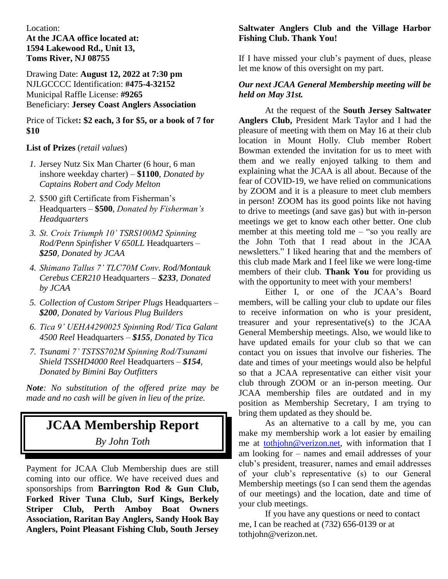#### Location:

#### **At the JCAA office located at: 1594 Lakewood Rd., Unit 13, Toms River, NJ 08755**

Drawing Date: **August 12, 2022 at 7:30 pm** NJLGCCCC Identification: **#475-4-32152** Municipal Raffle License: **#9265** Beneficiary: **Jersey Coast Anglers Association**

Price of Ticket**: \$2 each, 3 for \$5, or a book of 7 for \$10**

#### **List of Prizes** (*retail values*)

- *1.* Jersey Nutz Six Man Charter (6 hour, 6 man inshore weekday charter) – **\$1100***, Donated by Captains Robert and Cody Melton*
- *2.* \$500 gift Certificate from Fisherman's Headquarters – **\$500**, *Donated by Fisherman's Headquarters*
- *3. St. Croix Triumph 10' TSRS100M2 Spinning Rod/Penn Spinfisher V 650LL* Headquarters – *\$250, Donated by JCAA*
- *4. Shimano Tallus 7' TLC70M Conv. Rod/Montauk Cerebus CER210* Headquarters – *\$233, Donated by JCAA*
- *5. Collection of Custom Striper Plugs* Headquarters *\$200, Donated by Various Plug Builders*
- *6. Tica 9' UEHA4290025 Spinning Rod/ Tica Galant 4500 Reel* Headquarters – *\$155, Donated by Tica*
- *7. Tsunami 7' TSTSS702M Spinning Rod/Tsunami Shield TSSHD4000 Reel* Headquarters – *\$154, Donated by Bimini Bay Outfitters*

*Note: No substitution of the offered prize may be made and no cash will be given in lieu of the prize.*

### **JCAA Membership Report** *By John Toth*

Payment for JCAA Club Membership dues are still coming into our office. We have received dues and sponsorships from **Barrington Rod & Gun Club, Forked River Tuna Club, Surf Kings, Berkely Striper Club, Perth Amboy Boat Owners Association, Raritan Bay Anglers, Sandy Hook Bay Anglers, Point Pleasant Fishing Club, South Jersey** 

#### **Saltwater Anglers Club and the Village Harbor Fishing Club. Thank You!**

If I have missed your club's payment of dues, please let me know of this oversight on my part.

#### *Our next JCAA General Membership meeting will be held on May 31st.*

At the request of the **South Jersey Saltwater Anglers Club,** President Mark Taylor and I had the pleasure of meeting with them on May 16 at their club location in Mount Holly. Club member Robert Bowman extended the invitation for us to meet with them and we really enjoyed talking to them and explaining what the JCAA is all about. Because of the fear of COVID-19, we have relied on communications by ZOOM and it is a pleasure to meet club members in person! ZOOM has its good points like not having to drive to meetings (and save gas) but with in-person meetings we get to know each other better. One club member at this meeting told me – "so you really are the John Toth that I read about in the JCAA newsletters." I liked hearing that and the members of this club made Mark and I feel like we were long-time members of their club. **Thank You** for providing us with the opportunity to meet with your members!

Either I, or one of the JCAA's Board members, will be calling your club to update our files to receive information on who is your president, treasurer and your representative(s) to the JCAA General Membership meetings. Also, we would like to have updated emails for your club so that we can contact you on issues that involve our fisheries. The date and times of your meetings would also be helpful so that a JCAA representative can either visit your club through ZOOM or an in-person meeting. Our JCAA membership files are outdated and in my position as Membership Secretary, I am trying to bring them updated as they should be.

As an alternative to a call by me, you can make my membership work a lot easier by emailing me at [tothjohn@verizon.net,](mailto:tothjohn@verizon.net) with information that I am looking for – names and email addresses of your club's president, treasurer, names and email addresses of your club's representative (s) to our General Membership meetings (so I can send them the agendas of our meetings) and the location, date and time of your club meetings.

If you have any questions or need to contact me, I can be reached at (732) 656-0139 or at tothjohn@verizon.net.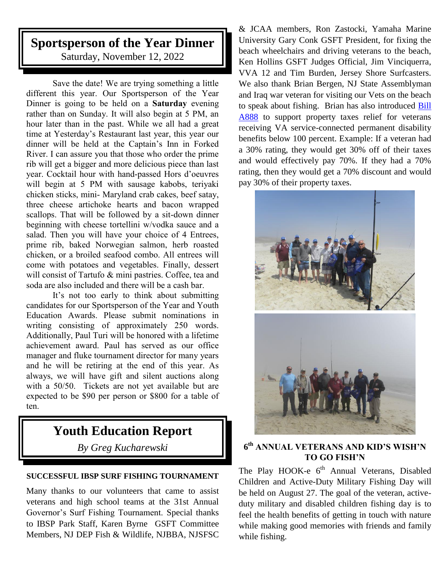# **Sportsperson of the Year Dinner**

Saturday, November 12, 2022

Save the date! We are trying something a little different this year. Our Sportsperson of the Year Dinner is going to be held on a **Saturday** evening rather than on Sunday. It will also begin at 5 PM, an hour later than in the past. While we all had a great time at Yesterday's Restaurant last year, this year our dinner will be held at the Captain's Inn in Forked River. I can assure you that those who order the prime rib will get a bigger and more delicious piece than last year. Cocktail hour with hand-passed Hors d'oeuvres will begin at 5 PM with sausage kabobs, teriyaki chicken sticks, mini- Maryland crab cakes, beef satay, three cheese artichoke hearts and bacon wrapped scallops. That will be followed by a sit-down dinner beginning with cheese tortellini w/vodka sauce and a salad. Then you will have your choice of 4 Entrees, prime rib, baked Norwegian salmon, herb roasted chicken, or a broiled seafood combo. All entrees will come with potatoes and vegetables. Finally, dessert will consist of Tartufo & mini pastries. Coffee, tea and soda are also included and there will be a cash bar.

It's not too early to think about submitting candidates for our Sportsperson of the Year and Youth Education Awards. Please submit nominations in writing consisting of approximately 250 words. Additionally, Paul Turi will be honored with a lifetime achievement award. Paul has served as our office manager and fluke tournament director for many years and he will be retiring at the end of this year. As always, we will have gift and silent auctions along with a 50/50. Tickets are not yet available but are expected to be \$90 per person or \$800 for a table of ten.

# **Youth Education Report**

*By Greg Kucharewski*

#### **SUCCESSFUL IBSP SURF FISHING TOURNAMENT**

Many thanks to our volunteers that came to assist veterans and high school teams at the 31st Annual Governor's Surf Fishing Tournament. Special thanks to IBSP Park Staff, Karen Byrne GSFT Committee Members, NJ DEP Fish & Wildlife, NJBBA, NJSFSC

& JCAA members, Ron Zastocki, Yamaha Marine University Gary Conk GSFT President, for fixing the beach wheelchairs and driving veterans to the beach, Ken Hollins GSFT Judges Official, Jim Vinciquerra, VVA 12 and Tim Burden, Jersey Shore Surfcasters. We also thank Brian Bergen, NJ State Assemblyman and Iraq war veteran for visiting our Vets on the beach to speak about fishing. Brian has also introduced [Bill](https://pub.njleg.state.nj.us/Bills/2022/A1000/888_I1.PDF)  [A888](https://pub.njleg.state.nj.us/Bills/2022/A1000/888_I1.PDF) to support property taxes relief for veterans receiving VA service-connected permanent disability benefits below 100 percent. Example: If a veteran had a 30% rating, they would get 30% off of their taxes and would effectively pay 70%. If they had a 70% rating, then they would get a 70% discount and would pay 30% of their property taxes.



#### **6 th ANNUAL VETERANS AND KID'S WISH'N TO GO FISH'N**

The Play HOOK-e 6<sup>th</sup> Annual Veterans, Disabled Children and Active-Duty Military Fishing Day will be held on August 27. The goal of the veteran, activeduty military and disabled children fishing day is to feel the health benefits of getting in touch with nature while making good memories with friends and family while fishing.